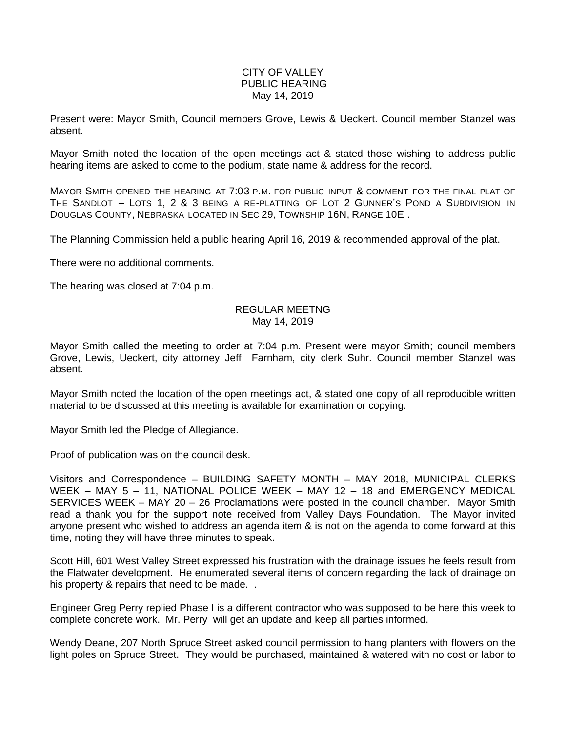## CITY OF VALLEY PUBLIC HEARING May 14, 2019

Present were: Mayor Smith, Council members Grove, Lewis & Ueckert. Council member Stanzel was absent.

Mayor Smith noted the location of the open meetings act & stated those wishing to address public hearing items are asked to come to the podium, state name & address for the record.

MAYOR SMITH OPENED THE HEARING AT 7:03 P.M. FOR PUBLIC INPUT & COMMENT FOR THE FINAL PLAT OF THE SANDLOT – LOTS 1, 2 & 3 BEING A RE-PLATTING OF LOT 2 GUNNER'S POND A SUBDIVISION IN DOUGLAS COUNTY, NEBRASKA LOCATED IN SEC 29, TOWNSHIP 16N, RANGE 10E .

The Planning Commission held a public hearing April 16, 2019 & recommended approval of the plat.

There were no additional comments.

The hearing was closed at 7:04 p.m.

## REGULAR MEETNG May 14, 2019

Mayor Smith called the meeting to order at 7:04 p.m. Present were mayor Smith; council members Grove, Lewis, Ueckert, city attorney Jeff Farnham, city clerk Suhr. Council member Stanzel was absent.

Mayor Smith noted the location of the open meetings act, & stated one copy of all reproducible written material to be discussed at this meeting is available for examination or copying.

Mayor Smith led the Pledge of Allegiance.

Proof of publication was on the council desk.

Visitors and Correspondence – BUILDING SAFETY MONTH – MAY 2018, MUNICIPAL CLERKS WEEK – MAY 5 – 11, NATIONAL POLICE WEEK – MAY 12 – 18 and EMERGENCY MEDICAL SERVICES WEEK – MAY 20 – 26 Proclamations were posted in the council chamber. Mayor Smith read a thank you for the support note received from Valley Days Foundation. The Mayor invited anyone present who wished to address an agenda item & is not on the agenda to come forward at this time, noting they will have three minutes to speak.

Scott Hill, 601 West Valley Street expressed his frustration with the drainage issues he feels result from the Flatwater development. He enumerated several items of concern regarding the lack of drainage on his property & repairs that need to be made. .

Engineer Greg Perry replied Phase I is a different contractor who was supposed to be here this week to complete concrete work. Mr. Perry will get an update and keep all parties informed.

Wendy Deane, 207 North Spruce Street asked council permission to hang planters with flowers on the light poles on Spruce Street. They would be purchased, maintained & watered with no cost or labor to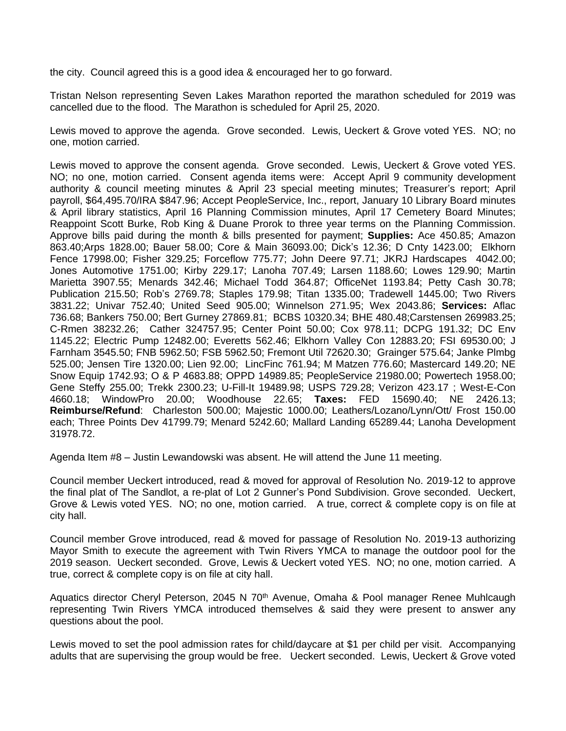the city. Council agreed this is a good idea & encouraged her to go forward.

Tristan Nelson representing Seven Lakes Marathon reported the marathon scheduled for 2019 was cancelled due to the flood. The Marathon is scheduled for April 25, 2020.

Lewis moved to approve the agenda. Grove seconded. Lewis, Ueckert & Grove voted YES. NO; no one, motion carried.

Lewis moved to approve the consent agenda. Grove seconded. Lewis, Ueckert & Grove voted YES. NO; no one, motion carried. Consent agenda items were: Accept April 9 community development authority & council meeting minutes & April 23 special meeting minutes; Treasurer's report; April payroll, \$64,495.70/IRA \$847.96; Accept PeopleService, Inc., report, January 10 Library Board minutes & April library statistics, April 16 Planning Commission minutes, April 17 Cemetery Board Minutes; Reappoint Scott Burke, Rob King & Duane Prorok to three year terms on the Planning Commission. Approve bills paid during the month & bills presented for payment; **Supplies:** Ace 450.85; Amazon 863.40;Arps 1828.00; Bauer 58.00; Core & Main 36093.00; Dick's 12.36; D Cnty 1423.00; Elkhorn Fence 17998.00; Fisher 329.25; Forceflow 775.77; John Deere 97.71; JKRJ Hardscapes 4042.00; Jones Automotive 1751.00; Kirby 229.17; Lanoha 707.49; Larsen 1188.60; Lowes 129.90; Martin Marietta 3907.55; Menards 342.46; Michael Todd 364.87; OfficeNet 1193.84; Petty Cash 30.78; Publication 215.50; Rob's 2769.78; Staples 179.98; Titan 1335.00; Tradewell 1445.00; Two Rivers 3831.22; Univar 752.40; United Seed 905.00; Winnelson 271.95; Wex 2043.86; **Services:** Aflac 736.68; Bankers 750.00; Bert Gurney 27869.81; BCBS 10320.34; BHE 480.48;Carstensen 269983.25; C-Rmen 38232.26; Cather 324757.95; Center Point 50.00; Cox 978.11; DCPG 191.32; DC Env 1145.22; Electric Pump 12482.00; Everetts 562.46; Elkhorn Valley Con 12883.20; FSI 69530.00; J Farnham 3545.50; FNB 5962.50; FSB 5962.50; Fremont Util 72620.30; Grainger 575.64; Janke Plmbg 525.00; Jensen Tire 1320.00; Lien 92.00; LincFinc 761.94; M Matzen 776.60; Mastercard 149.20; NE Snow Equip 1742.93; O & P 4683.88; OPPD 14989.85; PeopleService 21980.00; Powertech 1958.00; Gene Steffy 255.00; Trekk 2300.23; U-Fill-It 19489.98; USPS 729.28; Verizon 423.17 ; West-E-Con 4660.18; WindowPro 20.00; Woodhouse 22.65; **Taxes:** FED 15690.40; NE 2426.13; **Reimburse/Refund**: Charleston 500.00; Majestic 1000.00; Leathers/Lozano/Lynn/Ott/ Frost 150.00 each; Three Points Dev 41799.79; Menard 5242.60; Mallard Landing 65289.44; Lanoha Development 31978.72.

Agenda Item #8 – Justin Lewandowski was absent. He will attend the June 11 meeting.

Council member Ueckert introduced, read & moved for approval of Resolution No. 2019-12 to approve the final plat of The Sandlot, a re-plat of Lot 2 Gunner's Pond Subdivision. Grove seconded. Ueckert, Grove & Lewis voted YES. NO; no one, motion carried. A true, correct & complete copy is on file at city hall.

Council member Grove introduced, read & moved for passage of Resolution No. 2019-13 authorizing Mayor Smith to execute the agreement with Twin Rivers YMCA to manage the outdoor pool for the 2019 season. Ueckert seconded. Grove, Lewis & Ueckert voted YES. NO; no one, motion carried. A true, correct & complete copy is on file at city hall.

Aquatics director Cheryl Peterson, 2045 N 70<sup>th</sup> Avenue, Omaha & Pool manager Renee Muhlcaugh representing Twin Rivers YMCA introduced themselves & said they were present to answer any questions about the pool.

Lewis moved to set the pool admission rates for child/daycare at \$1 per child per visit. Accompanying adults that are supervising the group would be free. Ueckert seconded. Lewis, Ueckert & Grove voted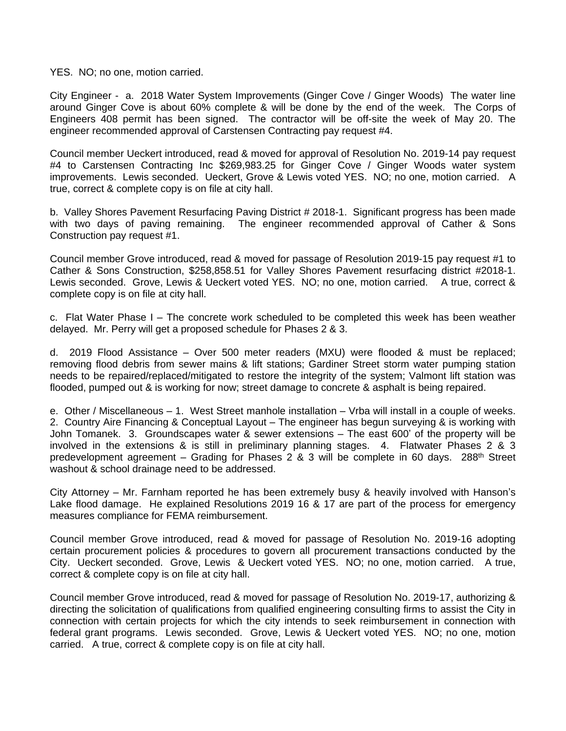YES. NO; no one, motion carried.

City Engineer - a. 2018 Water System Improvements (Ginger Cove / Ginger Woods) The water line around Ginger Cove is about 60% complete & will be done by the end of the week. The Corps of Engineers 408 permit has been signed. The contractor will be off-site the week of May 20. The engineer recommended approval of Carstensen Contracting pay request #4.

Council member Ueckert introduced, read & moved for approval of Resolution No. 2019-14 pay request #4 to Carstensen Contracting Inc \$269,983.25 for Ginger Cove / Ginger Woods water system improvements. Lewis seconded. Ueckert, Grove & Lewis voted YES. NO; no one, motion carried. A true, correct & complete copy is on file at city hall.

b. Valley Shores Pavement Resurfacing Paving District # 2018-1. Significant progress has been made with two days of paving remaining. The engineer recommended approval of Cather & Sons Construction pay request #1.

Council member Grove introduced, read & moved for passage of Resolution 2019-15 pay request #1 to Cather & Sons Construction, \$258,858.51 for Valley Shores Pavement resurfacing district #2018-1. Lewis seconded. Grove, Lewis & Ueckert voted YES. NO; no one, motion carried. A true, correct & complete copy is on file at city hall.

c. Flat Water Phase I – The concrete work scheduled to be completed this week has been weather delayed. Mr. Perry will get a proposed schedule for Phases 2 & 3.

d. 2019 Flood Assistance – Over 500 meter readers (MXU) were flooded & must be replaced; removing flood debris from sewer mains & lift stations; Gardiner Street storm water pumping station needs to be repaired/replaced/mitigated to restore the integrity of the system; Valmont lift station was flooded, pumped out & is working for now; street damage to concrete & asphalt is being repaired.

e. Other / Miscellaneous – 1. West Street manhole installation – Vrba will install in a couple of weeks. 2. Country Aire Financing & Conceptual Layout – The engineer has begun surveying & is working with John Tomanek. 3. Groundscapes water & sewer extensions – The east 600' of the property will be involved in the extensions & is still in preliminary planning stages. 4. Flatwater Phases 2 & 3 predevelopment agreement – Grading for Phases 2 & 3 will be complete in 60 days. 288<sup>th</sup> Street washout & school drainage need to be addressed.

City Attorney – Mr. Farnham reported he has been extremely busy & heavily involved with Hanson's Lake flood damage. He explained Resolutions 2019 16 & 17 are part of the process for emergency measures compliance for FEMA reimbursement.

Council member Grove introduced, read & moved for passage of Resolution No. 2019-16 adopting certain procurement policies & procedures to govern all procurement transactions conducted by the City. Ueckert seconded. Grove, Lewis & Ueckert voted YES. NO; no one, motion carried. A true, correct & complete copy is on file at city hall.

Council member Grove introduced, read & moved for passage of Resolution No. 2019-17, authorizing & directing the solicitation of qualifications from qualified engineering consulting firms to assist the City in connection with certain projects for which the city intends to seek reimbursement in connection with federal grant programs. Lewis seconded. Grove, Lewis & Ueckert voted YES. NO; no one, motion carried. A true, correct & complete copy is on file at city hall.